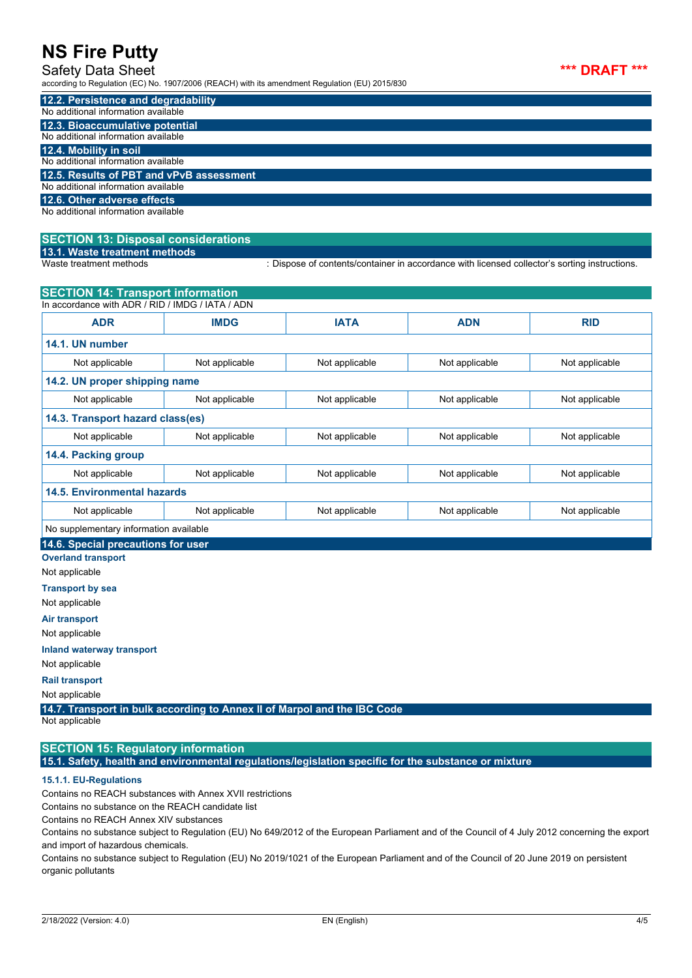#### Safety Data Sheet

according to Regulation (EC) No. 1907/2006 (REACH) with its amendment Regulation (EU) 2015/830

| 12.2. Persistence and degradability      |
|------------------------------------------|
| No additional information available      |
| 12.3. Bioaccumulative potential          |
| No additional information available      |
| 12.4. Mobility in soil                   |
| No additional information available      |
| 12.5. Results of PBT and vPvB assessment |
| No additional information available      |
| 12.6. Other adverse effects              |
| No additional information available      |
|                                          |

## **SECTION 13: Disposal considerations**

**13.1. Waste treatment methods**

: Dispose of contents/container in accordance with licensed collector's sorting instructions.

| <b>SECTION 14: Transport information</b>                                                   |                |                |                |                |  |
|--------------------------------------------------------------------------------------------|----------------|----------------|----------------|----------------|--|
| In accordance with ADR / RID / IMDG / IATA / ADN                                           |                |                |                |                |  |
| <b>ADR</b>                                                                                 | <b>IMDG</b>    | <b>IATA</b>    | <b>ADN</b>     | <b>RID</b>     |  |
| 14.1. UN number                                                                            |                |                |                |                |  |
| Not applicable                                                                             | Not applicable | Not applicable | Not applicable | Not applicable |  |
| 14.2. UN proper shipping name                                                              |                |                |                |                |  |
| Not applicable                                                                             | Not applicable | Not applicable | Not applicable | Not applicable |  |
| 14.3. Transport hazard class(es)                                                           |                |                |                |                |  |
| Not applicable                                                                             | Not applicable | Not applicable | Not applicable | Not applicable |  |
| 14.4. Packing group                                                                        |                |                |                |                |  |
| Not applicable                                                                             | Not applicable | Not applicable | Not applicable | Not applicable |  |
| 14.5. Environmental hazards                                                                |                |                |                |                |  |
| Not applicable                                                                             | Not applicable | Not applicable | Not applicable | Not applicable |  |
| No supplementary information available                                                     |                |                |                |                |  |
| 14.6. Special precautions for user                                                         |                |                |                |                |  |
| <b>Overland transport</b>                                                                  |                |                |                |                |  |
| Not applicable                                                                             |                |                |                |                |  |
| <b>Transport by sea</b>                                                                    |                |                |                |                |  |
| Not applicable                                                                             |                |                |                |                |  |
| Air transport                                                                              |                |                |                |                |  |
| Not applicable                                                                             |                |                |                |                |  |
| Inland waterway transport                                                                  |                |                |                |                |  |
| Not applicable                                                                             |                |                |                |                |  |
| Rail.transport                                                                             |                |                |                |                |  |
| Not applicable                                                                             |                |                |                |                |  |
| 14.7. Transport in bulk according to Annex II of Marpol and the IBC Code<br>Not applicable |                |                |                |                |  |

## **SECTION 15: Regulatory information**

**15.1. Safety, health and environmental regulations/legislation specific for the substance or mixture**

#### **15.1.1. EU-Regulations**

Contains no REACH substances with Annex XVII restrictions

Contains no substance on the REACH candidate list

Contains no REACH Annex XIV substances

Contains no substance subject to Regulation (EU) No 649/2012 of the European Parliament and of the Council of 4 July 2012 concerning the export and import of hazardous chemicals.

Contains no substance subject to Regulation (EU) No 2019/1021 of the European Parliament and of the Council of 20 June 2019 on persistent organic pollutants